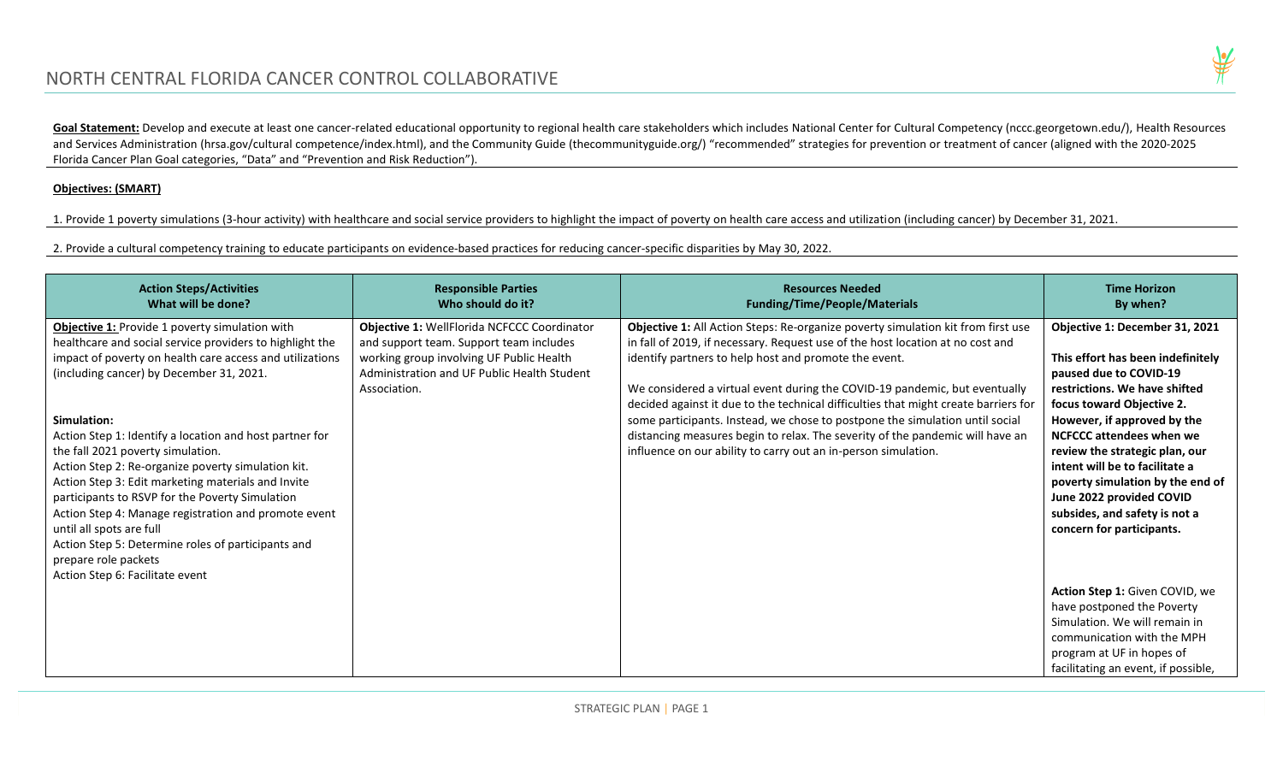

Goal Statement: Develop and execute at least one cancer-related educational opportunity to regional health care stakeholders which includes National Center for Cultural Competency (nccc.georgetown.edu/), Health Resources and Services Administration (hrsa.gov/cultural competence/index.html), and the Community Guide (thecommunityguide.org/) "recommended" strategies for prevention or treatment of cancer (aligned with the 2020-2025 Florida Cancer Plan Goal categories, "Data" and "Prevention and Risk Reduction").

#### **Objectives: (SMART)**

1. Provide 1 poverty simulations (3-hour activity) with healthcare and social service providers to highlight the impact of poverty on health care access and utilization (including cancer) by December 31, 2021.

2. Provide a cultural competency training to educate participants on evidence-based practices for reducing cancer-specific disparities by May 30, 2022.

| <b>Action Steps/Activities</b><br>What will be done?                                                                                                                                                                                                                                                                                                                                                                                                                                                                                                                                                                                       | <b>Responsible Parties</b><br>Who should do it?                                                                                                                                                   | <b>Resources Needed</b><br><b>Funding/Time/People/Materials</b>                                                                                                                                                                                                                                                                                                                                                                                                                                                                                                                                                                     | <b>Time Horizon</b><br>By when?                                                                                                                                                                                                                                                                                                                                                                                                 |
|--------------------------------------------------------------------------------------------------------------------------------------------------------------------------------------------------------------------------------------------------------------------------------------------------------------------------------------------------------------------------------------------------------------------------------------------------------------------------------------------------------------------------------------------------------------------------------------------------------------------------------------------|---------------------------------------------------------------------------------------------------------------------------------------------------------------------------------------------------|-------------------------------------------------------------------------------------------------------------------------------------------------------------------------------------------------------------------------------------------------------------------------------------------------------------------------------------------------------------------------------------------------------------------------------------------------------------------------------------------------------------------------------------------------------------------------------------------------------------------------------------|---------------------------------------------------------------------------------------------------------------------------------------------------------------------------------------------------------------------------------------------------------------------------------------------------------------------------------------------------------------------------------------------------------------------------------|
| Objective 1: Provide 1 poverty simulation with<br>healthcare and social service providers to highlight the<br>impact of poverty on health care access and utilizations<br>(including cancer) by December 31, 2021.<br>Simulation:<br>Action Step 1: Identify a location and host partner for<br>the fall 2021 poverty simulation.<br>Action Step 2: Re-organize poverty simulation kit.<br>Action Step 3: Edit marketing materials and Invite<br>participants to RSVP for the Poverty Simulation<br>Action Step 4: Manage registration and promote event<br>until all spots are full<br>Action Step 5: Determine roles of participants and | Objective 1: WellFlorida NCFCCC Coordinator<br>and support team. Support team includes<br>working group involving UF Public Health<br>Administration and UF Public Health Student<br>Association. | Objective 1: All Action Steps: Re-organize poverty simulation kit from first use<br>in fall of 2019, if necessary. Request use of the host location at no cost and<br>identify partners to help host and promote the event.<br>We considered a virtual event during the COVID-19 pandemic, but eventually<br>decided against it due to the technical difficulties that might create barriers for<br>some participants. Instead, we chose to postpone the simulation until social<br>distancing measures begin to relax. The severity of the pandemic will have an<br>influence on our ability to carry out an in-person simulation. | Objective 1: December 31, 2021<br>This effort has been indefinitely<br>paused due to COVID-19<br>restrictions. We have shifted<br>focus toward Objective 2.<br>However, if approved by the<br><b>NCFCCC attendees when we</b><br>review the strategic plan, our<br>intent will be to facilitate a<br>poverty simulation by the end of<br>June 2022 provided COVID<br>subsides, and safety is not a<br>concern for participants. |
| prepare role packets<br>Action Step 6: Facilitate event                                                                                                                                                                                                                                                                                                                                                                                                                                                                                                                                                                                    |                                                                                                                                                                                                   |                                                                                                                                                                                                                                                                                                                                                                                                                                                                                                                                                                                                                                     | Action Step 1: Given COVID, we<br>have postponed the Poverty<br>Simulation. We will remain in<br>communication with the MPH<br>program at UF in hopes of<br>facilitating an event, if possible,                                                                                                                                                                                                                                 |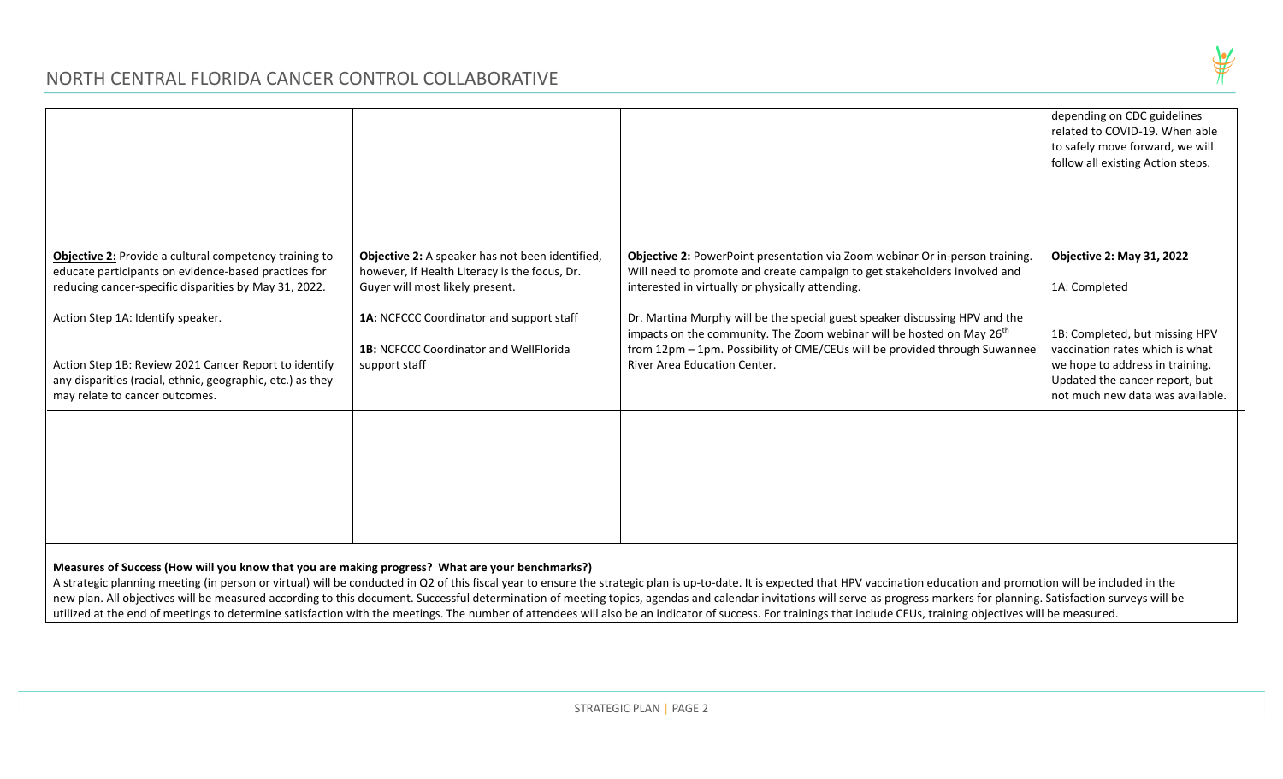# NORTH CENTRAL FLORIDA CANCER CONTROL COLLABORATIVE



|                                                                                                                                                                                                                                                                                                                                                                       |                                                                                                                                                                                                                                                   |                                                                                                                                                                                                                                                                                                                                                                                                                                                                                                        | depending on CDC guidelines<br>related to COVID-19. When able<br>to safely move forward, we will<br>follow all existing Action steps.                                                                                           |
|-----------------------------------------------------------------------------------------------------------------------------------------------------------------------------------------------------------------------------------------------------------------------------------------------------------------------------------------------------------------------|---------------------------------------------------------------------------------------------------------------------------------------------------------------------------------------------------------------------------------------------------|--------------------------------------------------------------------------------------------------------------------------------------------------------------------------------------------------------------------------------------------------------------------------------------------------------------------------------------------------------------------------------------------------------------------------------------------------------------------------------------------------------|---------------------------------------------------------------------------------------------------------------------------------------------------------------------------------------------------------------------------------|
| Objective 2: Provide a cultural competency training to<br>educate participants on evidence-based practices for<br>reducing cancer-specific disparities by May 31, 2022.<br>Action Step 1A: Identify speaker.<br>Action Step 1B: Review 2021 Cancer Report to identify<br>any disparities (racial, ethnic, geographic, etc.) as they<br>may relate to cancer outcomes. | Objective 2: A speaker has not been identified,<br>however, if Health Literacy is the focus, Dr.<br>Guyer will most likely present.<br>1A: NCFCCC Coordinator and support staff<br><b>1B: NCFCCC Coordinator and WellFlorida</b><br>support staff | Objective 2: PowerPoint presentation via Zoom webinar Or in-person training.<br>Will need to promote and create campaign to get stakeholders involved and<br>interested in virtually or physically attending.<br>Dr. Martina Murphy will be the special guest speaker discussing HPV and the<br>impacts on the community. The Zoom webinar will be hosted on May 26 <sup>th</sup><br>from 12pm - 1pm. Possibility of CME/CEUs will be provided through Suwannee<br><b>River Area Education Center.</b> | <b>Objective 2: May 31, 2022</b><br>1A: Completed<br>1B: Completed, but missing HPV<br>vaccination rates which is what<br>we hope to address in training.<br>Updated the cancer report, but<br>not much new data was available. |
|                                                                                                                                                                                                                                                                                                                                                                       |                                                                                                                                                                                                                                                   |                                                                                                                                                                                                                                                                                                                                                                                                                                                                                                        |                                                                                                                                                                                                                                 |

# **Measures of Success (How will you know that you are making progress? What are your benchmarks?)**

A strategic planning meeting (in person or virtual) will be conducted in Q2 of this fiscal year to ensure the strategic plan is up-to-date. It is expected that HPV vaccination education and promotion will be included in th new plan. All objectives will be measured according to this document. Successful determination of meeting topics, agendas and calendar invitations will serve as progress markers for planning. Satisfaction surveys will be utilized at the end of meetings to determine satisfaction with the meetings. The number of attendees will also be an indicator of success. For trainings that include CEUs, training objectives will be measured.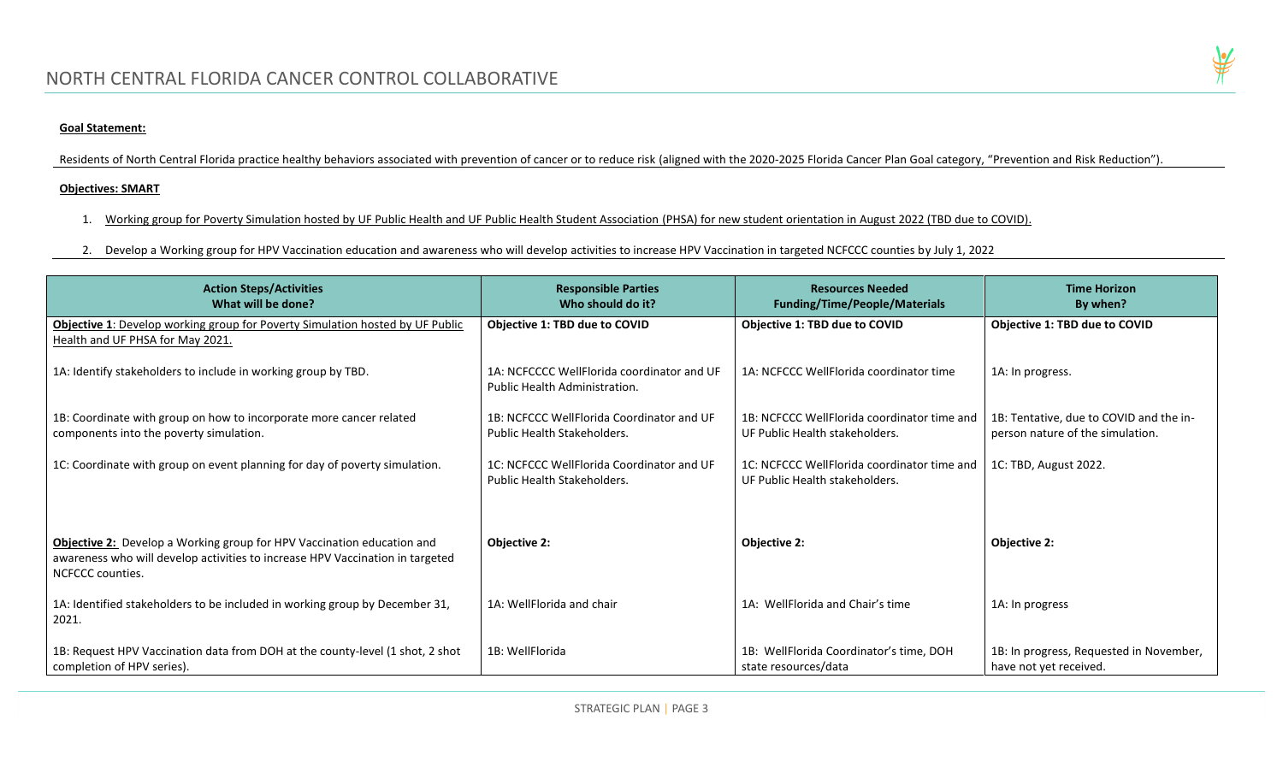## **Goal Statement:**

Residents of North Central Florida practice healthy behaviors associated with prevention of cancer or to reduce risk (aligned with the 2020-2025 Florida Cancer Plan Goal category, "Prevention and Risk Reduction").

#### **Objectives: SMART**

- 1. Working group for Poverty Simulation hosted by UF Public Health and UF Public Health Student Association (PHSA) for new student orientation in August 2022 (TBD due to COVID).
- 2. Develop a Working group for HPV Vaccination education and awareness who will develop activities to increase HPV Vaccination in targeted NCFCCC counties by July 1, 2022

| <b>Action Steps/Activities</b><br>What will be done?                                                                                                                               | <b>Responsible Parties</b><br>Who should do it?                             | <b>Resources Needed</b><br><b>Funding/Time/People/Materials</b>               | <b>Time Horizon</b><br>By when?                                             |
|------------------------------------------------------------------------------------------------------------------------------------------------------------------------------------|-----------------------------------------------------------------------------|-------------------------------------------------------------------------------|-----------------------------------------------------------------------------|
| Objective 1: Develop working group for Poverty Simulation hosted by UF Public<br>Health and UF PHSA for May 2021.                                                                  | Objective 1: TBD due to COVID                                               | Objective 1: TBD due to COVID                                                 | Objective 1: TBD due to COVID                                               |
| 1A: Identify stakeholders to include in working group by TBD.                                                                                                                      | 1A: NCFCCCC WellFlorida coordinator and UF<br>Public Health Administration. | 1A: NCFCCC WellFlorida coordinator time                                       | 1A: In progress.                                                            |
| 1B: Coordinate with group on how to incorporate more cancer related<br>components into the poverty simulation.                                                                     | 1B: NCFCCC WellFlorida Coordinator and UF<br>Public Health Stakeholders.    | 1B: NCFCCC WellFlorida coordinator time and<br>UF Public Health stakeholders. | 1B: Tentative, due to COVID and the in-<br>person nature of the simulation. |
| 1C: Coordinate with group on event planning for day of poverty simulation.                                                                                                         | 1C: NCFCCC WellFlorida Coordinator and UF<br>Public Health Stakeholders.    | 1C: NCFCCC WellFlorida coordinator time and<br>UF Public Health stakeholders. | 1C: TBD, August 2022.                                                       |
| <b>Objective 2:</b> Develop a Working group for HPV Vaccination education and<br>awareness who will develop activities to increase HPV Vaccination in targeted<br>NCFCCC counties. | <b>Objective 2:</b>                                                         | Objective 2:                                                                  | <b>Objective 2:</b>                                                         |
| 1A: Identified stakeholders to be included in working group by December 31,<br>2021.                                                                                               | 1A: WellFlorida and chair                                                   | 1A: WellFlorida and Chair's time                                              | 1A: In progress                                                             |
| 1B: Request HPV Vaccination data from DOH at the county-level (1 shot, 2 shot<br>completion of HPV series).                                                                        | 1B: WellFlorida                                                             | 1B: WellFlorida Coordinator's time, DOH<br>state resources/data               | 1B: In progress, Requested in November,<br>have not yet received.           |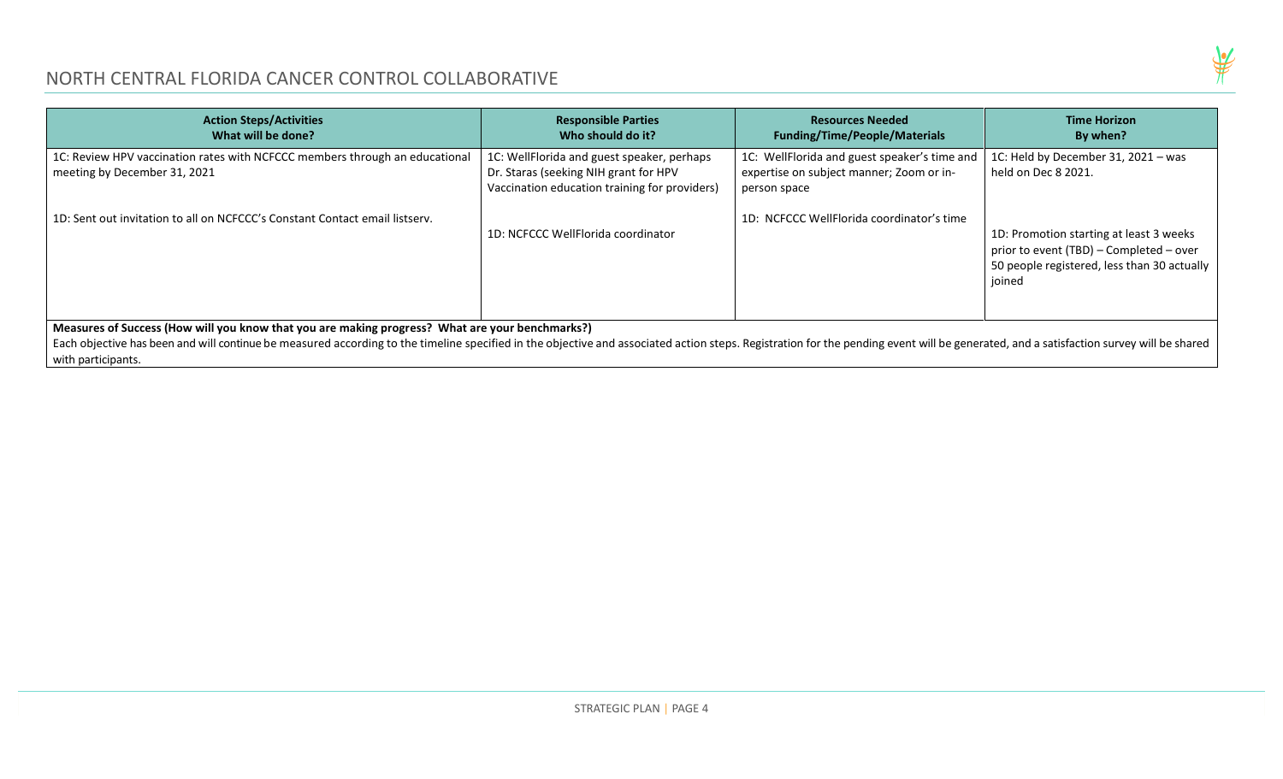

| <b>Action Steps/Activities</b><br>What will be done?                                                                                                                                                                                                                                                                                                    | <b>Responsible Parties</b><br>Who should do it?                                                                                      | <b>Resources Needed</b><br><b>Funding/Time/People/Materials</b>                                          | <b>Time Horizon</b><br>By when?                                                                                                             |
|---------------------------------------------------------------------------------------------------------------------------------------------------------------------------------------------------------------------------------------------------------------------------------------------------------------------------------------------------------|--------------------------------------------------------------------------------------------------------------------------------------|----------------------------------------------------------------------------------------------------------|---------------------------------------------------------------------------------------------------------------------------------------------|
| 1C: Review HPV vaccination rates with NCFCCC members through an educational<br>meeting by December 31, 2021                                                                                                                                                                                                                                             | 1C: WellFlorida and guest speaker, perhaps<br>Dr. Staras (seeking NIH grant for HPV<br>Vaccination education training for providers) | 1C: WellFlorida and guest speaker's time and<br>expertise on subject manner; Zoom or in-<br>person space | 1C: Held by December 31, 2021 - was<br>held on Dec 8 2021.                                                                                  |
| 1D: Sent out invitation to all on NCFCCC's Constant Contact email listsery.                                                                                                                                                                                                                                                                             | 1D: NCFCCC WellFlorida coordinator                                                                                                   | 1D: NCFCCC WellFlorida coordinator's time                                                                | 1D: Promotion starting at least 3 weeks<br>prior to event (TBD) - Completed - over<br>50 people registered, less than 30 actually<br>joined |
| Measures of Success (How will you know that you are making progress? What are your benchmarks?)<br>Each objective has been and will continue be measured according to the timeline specified in the objective and associated action steps. Registration for the pending event will be generated, and a satisfaction survey will b<br>with participants. |                                                                                                                                      |                                                                                                          |                                                                                                                                             |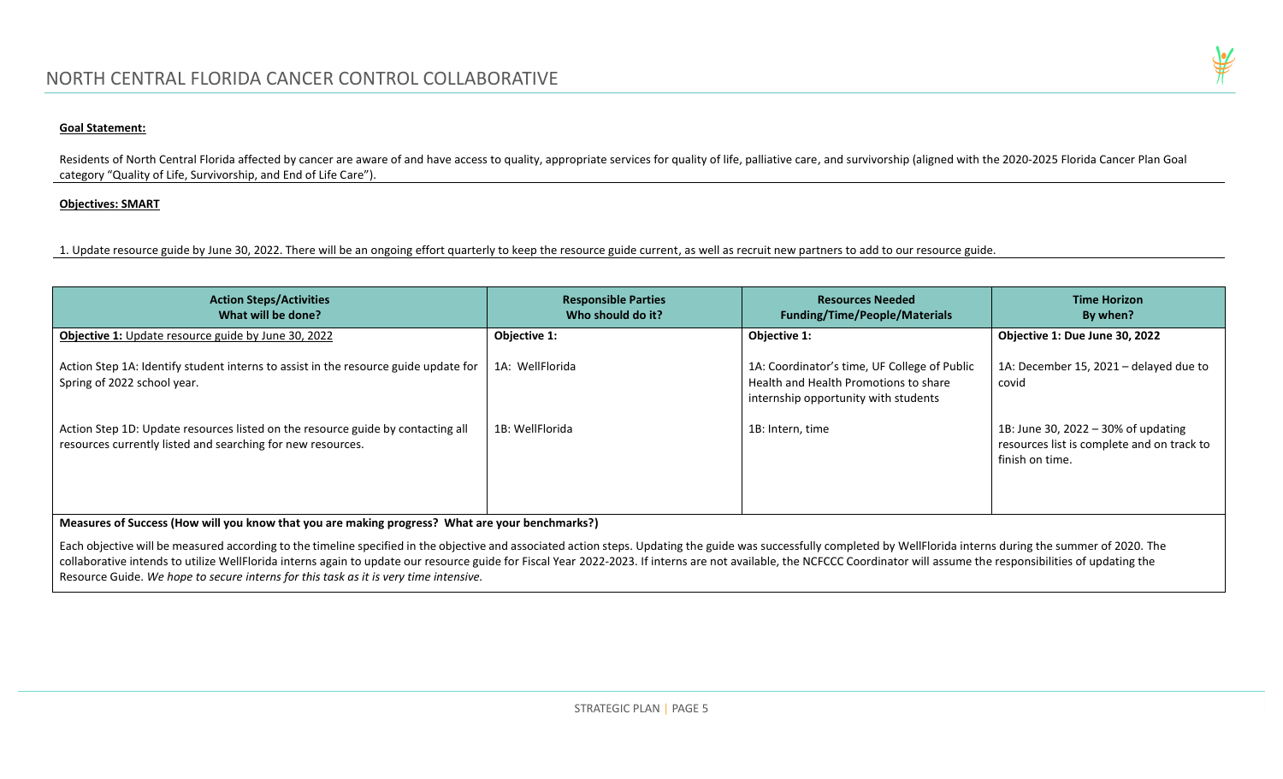#### **Goal Statement:**

Residents of North Central Florida affected by cancer are aware of and have access to quality, appropriate services for quality of life, palliative care, and survivorship (aligned with the 2020-2025 Florida Cancer Plan Goa category "Quality of Life, Survivorship, and End of Life Care").

#### **Objectives: SMART**

1. Update resource guide by June 30, 2022. There will be an ongoing effort quarterly to keep the resource guide current, as well as recruit new partners to add to our resource guide.

| <b>Action Steps/Activities</b><br>What will be done?                                                                                           | <b>Responsible Parties</b><br>Who should do it? | <b>Resources Needed</b><br><b>Funding/Time/People/Materials</b>                                                               | <b>Time Horizon</b><br>By when?                                                                      |
|------------------------------------------------------------------------------------------------------------------------------------------------|-------------------------------------------------|-------------------------------------------------------------------------------------------------------------------------------|------------------------------------------------------------------------------------------------------|
| Objective 1: Update resource guide by June 30, 2022                                                                                            | Objective 1:                                    | Objective 1:                                                                                                                  | Objective 1: Due June 30, 2022                                                                       |
| Action Step 1A: Identify student interns to assist in the resource guide update for<br>Spring of 2022 school year.                             | 1A: WellFlorida                                 | 1A: Coordinator's time, UF College of Public<br>Health and Health Promotions to share<br>internship opportunity with students | 1A: December 15, 2021 - delayed due to<br>covid                                                      |
| Action Step 1D: Update resources listed on the resource guide by contacting all<br>resources currently listed and searching for new resources. | 1B: WellFlorida                                 | 1B: Intern, time                                                                                                              | 1B: June 30, 2022 - 30% of updating<br>resources list is complete and on track to<br>finish on time. |

**Measures of Success (How will you know that you are making progress? What are your benchmarks?)**

Each objective will be measured according to the timeline specified in the objective and associated action steps. Updating the guide was successfully completed by WellFlorida interns during the summer of 2020. The collaborative intends to utilize WellFlorida interns again to update our resource guide for Fiscal Year 2022-2023. If interns are not available, the NCFCCC Coordinator will assume the responsibilities of updating the Resource Guide. *We hope to secure interns for this task as it is very time intensive.* 

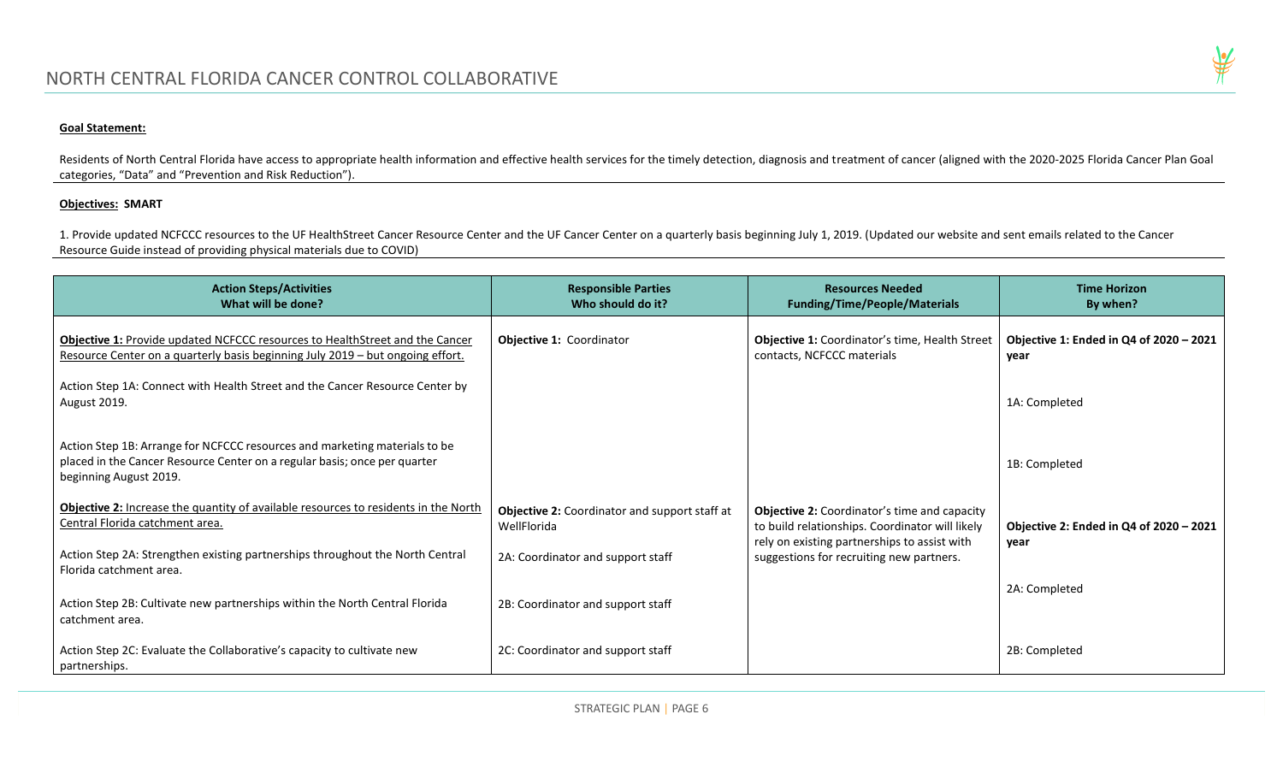#### **Goal Statement:**

Residents of North Central Florida have access to appropriate health information and effective health services for the timely detection, diagnosis and treatment of cancer (aligned with the 2020-2025 Florida Cancer Plan Goa categories, "Data" and "Prevention and Risk Reduction").

## **Objectives: SMART**

1. Provide updated NCFCCC resources to the UF HealthStreet Cancer Resource Center and the UF Cancer Center on a quarterly basis beginning July 1, 2019. (Updated our website and sent emails related to the Cancer Resource Guide instead of providing physical materials due to COVID)

| <b>Action Steps/Activities</b><br>What will be done?                                                                                                                              | <b>Responsible Parties</b><br>Who should do it?              | <b>Resources Needed</b><br><b>Funding/Time/People/Materials</b>                                        | <b>Time Horizon</b><br>By when?                 |
|-----------------------------------------------------------------------------------------------------------------------------------------------------------------------------------|--------------------------------------------------------------|--------------------------------------------------------------------------------------------------------|-------------------------------------------------|
| <b>Objective 1: Provide updated NCFCCC resources to HealthStreet and the Cancer</b><br>Resource Center on a quarterly basis beginning July 2019 - but ongoing effort.             | <b>Objective 1: Coordinator</b>                              | <b>Objective 1: Coordinator's time, Health Street</b><br>contacts, NCFCCC materials                    | Objective 1: Ended in Q4 of 2020 - 2021<br>year |
| Action Step 1A: Connect with Health Street and the Cancer Resource Center by<br>August 2019.                                                                                      |                                                              |                                                                                                        | 1A: Completed                                   |
| Action Step 1B: Arrange for NCFCCC resources and marketing materials to be<br>placed in the Cancer Resource Center on a regular basis; once per quarter<br>beginning August 2019. |                                                              |                                                                                                        | 1B: Completed                                   |
| Objective 2: Increase the quantity of available resources to residents in the North<br>Central Florida catchment area.                                                            | Objective 2: Coordinator and support staff at<br>WellFlorida | <b>Objective 2: Coordinator's time and capacity</b><br>to build relationships. Coordinator will likely | Objective 2: Ended in Q4 of 2020 - 2021         |
| Action Step 2A: Strengthen existing partnerships throughout the North Central<br>Florida catchment area.                                                                          | 2A: Coordinator and support staff                            | rely on existing partnerships to assist with<br>suggestions for recruiting new partners.               | year                                            |
| Action Step 2B: Cultivate new partnerships within the North Central Florida<br>catchment area.                                                                                    | 2B: Coordinator and support staff                            |                                                                                                        | 2A: Completed                                   |
| Action Step 2C: Evaluate the Collaborative's capacity to cultivate new<br>partnerships.                                                                                           | 2C: Coordinator and support staff                            |                                                                                                        | 2B: Completed                                   |